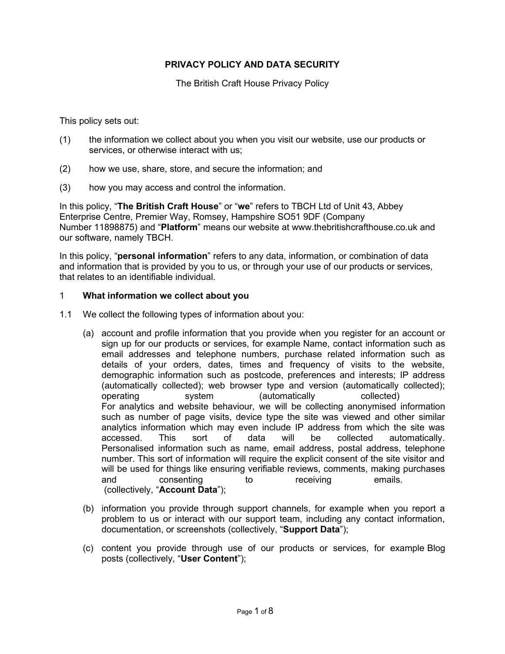## **PRIVACY POLICY AND DATA SECURITY**

The British Craft House Privacy Policy

This policy sets out:

- (1) the information we collect about you when you visit our website, use our products or services, or otherwise interact with us;
- (2) how we use, share, store, and secure the information; and
- (3) how you may access and control the information.

In this policy, "**The British Craft House**" or "**we**" refers to TBCH Ltd of Unit 43, Abbey Enterprise Centre, Premier Way, Romsey, Hampshire SO51 9DF (Company Number 11898875) and "**Platform**" means our website at www.thebritishcrafthouse.co.uk and our software, namely TBCH.

In this policy, "**personal information**" refers to any data, information, or combination of data and information that is provided by you to us, or through your use of our products or services, that relates to an identifiable individual.

#### 1 **What information we collect about you**

- 1.1 We collect the following types of information about you:
	- (a) account and profile information that you provide when you register for an account or sign up for our products or services, for example Name, contact information such as email addresses and telephone numbers, purchase related information such as details of your orders, dates, times and frequency of visits to the website, demographic information such as postcode, preferences and interests; IP address (automatically collected); web browser type and version (automatically collected); operating system (automatically collected) For analytics and website behaviour, we will be collecting anonymised information such as number of page visits, device type the site was viewed and other similar analytics information which may even include IP address from which the site was accessed. This sort of data will be collected automatically. Personalised information such as name, email address, postal address, telephone number. This sort of information will require the explicit consent of the site visitor and will be used for things like ensuring verifiable reviews, comments, making purchases and consenting to receiving emails. (collectively, "**Account Data**");
	- (b) information you provide through support channels, for example when you report a problem to us or interact with our support team, including any contact information, documentation, or screenshots (collectively, "**Support Data**");
	- (c) content you provide through use of our products or services, for example Blog posts (collectively, "**User Content**");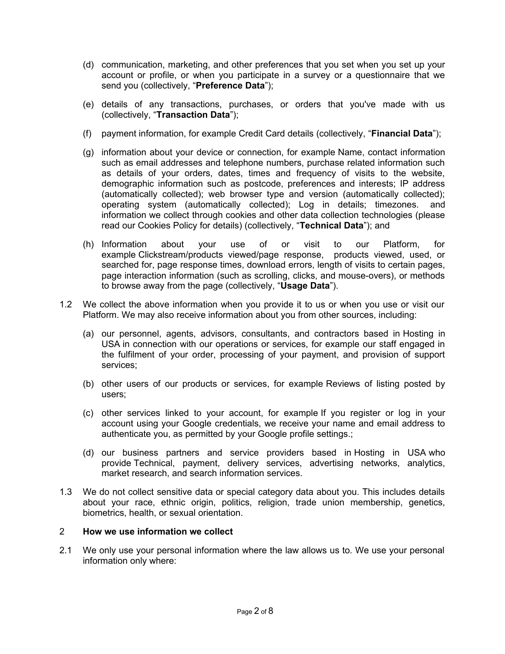- (d) communication, marketing, and other preferences that you set when you set up your account or profile, or when you participate in a survey or a questionnaire that we send you (collectively, "**Preference Data**");
- (e) details of any transactions, purchases, or orders that you've made with us (collectively, "**Transaction Data**");
- (f) payment information, for example Credit Card details (collectively, "**Financial Data**");
- (g) information about your device or connection, for example Name, contact information such as email addresses and telephone numbers, purchase related information such as details of your orders, dates, times and frequency of visits to the website, demographic information such as postcode, preferences and interests; IP address (automatically collected); web browser type and version (automatically collected); operating system (automatically collected); Log in details; timezones. and information we collect through cookies and other data collection technologies (please read our Cookies Policy for details) (collectively, "**Technical Data**"); and
- (h) Information about your use of or visit to our Platform, for example Clickstream/products viewed/page response, products viewed, used, or searched for, page response times, download errors, length of visits to certain pages, page interaction information (such as scrolling, clicks, and mouse-overs), or methods to browse away from the page (collectively, "**Usage Data**").
- 1.2 We collect the above information when you provide it to us or when you use or visit our Platform. We may also receive information about you from other sources, including:
	- (a) our personnel, agents, advisors, consultants, and contractors based in Hosting in USA in connection with our operations or services, for example our staff engaged in the fulfilment of your order, processing of your payment, and provision of support services;
	- (b) other users of our products or services, for example Reviews of listing posted by users;
	- (c) other services linked to your account, for example If you register or log in your account using your Google credentials, we receive your name and email address to authenticate you, as permitted by your Google profile settings.;
	- (d) our business partners and service providers based in Hosting in USA who provide Technical, payment, delivery services, advertising networks, analytics, market research, and search information services.
- 1.3 We do not collect sensitive data or special category data about you. This includes details about your race, ethnic origin, politics, religion, trade union membership, genetics, biometrics, health, or sexual orientation.

# 2 **How we use information we collect**

2.1 We only use your personal information where the law allows us to. We use your personal information only where: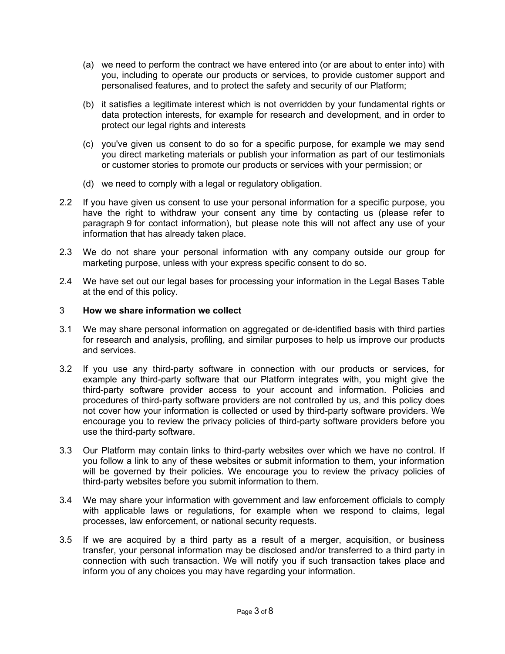- (a) we need to perform the contract we have entered into (or are about to enter into) with you, including to operate our products or services, to provide customer support and personalised features, and to protect the safety and security of our Platform;
- (b) it satisfies a legitimate interest which is not overridden by your fundamental rights or data protection interests, for example for research and development, and in order to protect our legal rights and interests
- (c) you've given us consent to do so for a specific purpose, for example we may send you direct marketing materials or publish your information as part of our testimonials or customer stories to promote our products or services with your permission; or
- (d) we need to comply with a legal or regulatory obligation.
- 2.2 If you have given us consent to use your personal information for a specific purpose, you have the right to withdraw your consent any time by contacting us (please refer to paragraph 9 for contact information), but please note this will not affect any use of your information that has already taken place.
- 2.3 We do not share your personal information with any company outside our group for marketing purpose, unless with your express specific consent to do so.
- 2.4 We have set out our legal bases for processing your information in the Legal Bases Table at the end of this policy.

### 3 **How we share information we collect**

- 3.1 We may share personal information on aggregated or de-identified basis with third parties for research and analysis, profiling, and similar purposes to help us improve our products and services.
- 3.2 If you use any third-party software in connection with our products or services, for example any third-party software that our Platform integrates with, you might give the third-party software provider access to your account and information. Policies and procedures of third-party software providers are not controlled by us, and this policy does not cover how your information is collected or used by third-party software providers. We encourage you to review the privacy policies of third-party software providers before you use the third-party software.
- 3.3 Our Platform may contain links to third-party websites over which we have no control. If you follow a link to any of these websites or submit information to them, your information will be governed by their policies. We encourage you to review the privacy policies of third-party websites before you submit information to them.
- 3.4 We may share your information with government and law enforcement officials to comply with applicable laws or regulations, for example when we respond to claims, legal processes, law enforcement, or national security requests.
- 3.5 If we are acquired by a third party as a result of a merger, acquisition, or business transfer, your personal information may be disclosed and/or transferred to a third party in connection with such transaction. We will notify you if such transaction takes place and inform you of any choices you may have regarding your information.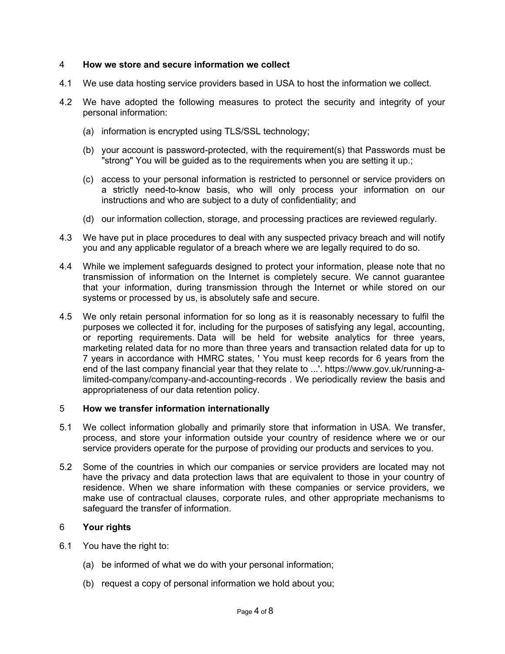#### 4 **How we store and secure information we collect**

- 4.1 We use data hosting service providers based in USA to host the information we collect.
- 4.2 We have adopted the following measures to protect the security and integrity of your personal information:
	- (a) information is encrypted using TLS/SSL technology;
	- (b) your account is password-protected, with the requirement(s) that Passwords must be "strong" You will be guided as to the requirements when you are setting it up.;
	- (c) access to your personal information is restricted to personnel or service providers on a strictly need-to-know basis, who will only process your information on our instructions and who are subject to a duty of confidentiality; and
	- (d) our information collection, storage, and processing practices are reviewed regularly.
- 4.3 We have put in place procedures to deal with any suspected privacy breach and will notify you and any applicable regulator of a breach where we are legally required to do so.
- 4.4 While we implement safeguards designed to protect your information, please note that no transmission of information on the Internet is completely secure. We cannot guarantee that your information, during transmission through the Internet or while stored on our systems or processed by us, is absolutely safe and secure.
- 4.5 We only retain personal information for so long as it is reasonably necessary to fulfil the purposes we collected it for, including for the purposes of satisfying any legal, accounting, or reporting requirements. Data will be held for website analytics for three years, marketing related data for no more than three years and transaction related data for up to 7 years in accordance with HMRC states, ' You must keep records for 6 years from the end of the last company financial year that they relate to ...'. https://www.gov.uk/running-alimited-company/company-and-accounting-records . We periodically review the basis and appropriateness of our data retention policy.

#### 5 **How we transfer information internationally**

- 5.1 We collect information globally and primarily store that information in USA. We transfer, process, and store your information outside your country of residence where we or our service providers operate for the purpose of providing our products and services to you.
- 5.2 Some of the countries in which our companies or service providers are located may not have the privacy and data protection laws that are equivalent to those in your country of residence. When we share information with these companies or service providers, we make use of contractual clauses, corporate rules, and other appropriate mechanisms to safeguard the transfer of information.

### 6 **Your rights**

- 6.1 You have the right to:
	- (a) be informed of what we do with your personal information;
	- (b) request a copy of personal information we hold about you;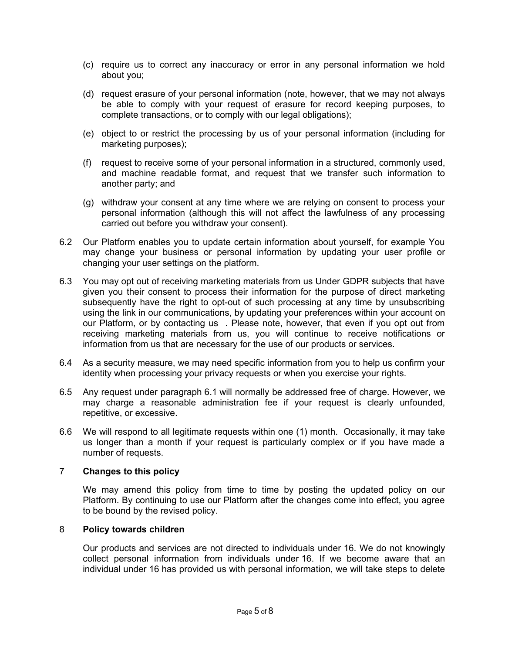- (c) require us to correct any inaccuracy or error in any personal information we hold about you;
- (d) request erasure of your personal information (note, however, that we may not always be able to comply with your request of erasure for record keeping purposes, to complete transactions, or to comply with our legal obligations);
- (e) object to or restrict the processing by us of your personal information (including for marketing purposes);
- (f) request to receive some of your personal information in a structured, commonly used, and machine readable format, and request that we transfer such information to another party; and
- (g) withdraw your consent at any time where we are relying on consent to process your personal information (although this will not affect the lawfulness of any processing carried out before you withdraw your consent).
- 6.2 Our Platform enables you to update certain information about yourself, for example You may change your business or personal information by updating your user profile or changing your user settings on the platform.
- 6.3 You may opt out of receiving marketing materials from us Under GDPR subjects that have given you their consent to process their information for the purpose of direct marketing subsequently have the right to opt-out of such processing at any time by unsubscribing using the link in our communications, by updating your preferences within your account on our Platform, or by contacting us . Please note, however, that even if you opt out from receiving marketing materials from us, you will continue to receive notifications or information from us that are necessary for the use of our products or services.
- 6.4 As a security measure, we may need specific information from you to help us confirm your identity when processing your privacy requests or when you exercise your rights.
- 6.5 Any request under paragraph 6.1 will normally be addressed free of charge. However, we may charge a reasonable administration fee if your request is clearly unfounded, repetitive, or excessive.
- 6.6 We will respond to all legitimate requests within one (1) month. Occasionally, it may take us longer than a month if your request is particularly complex or if you have made a number of requests.

### 7 **Changes to this policy**

We may amend this policy from time to time by posting the updated policy on our Platform. By continuing to use our Platform after the changes come into effect, you agree to be bound by the revised policy.

#### 8 **Policy towards children**

Our products and services are not directed to individuals under 16. We do not knowingly collect personal information from individuals under 16. If we become aware that an individual under 16 has provided us with personal information, we will take steps to delete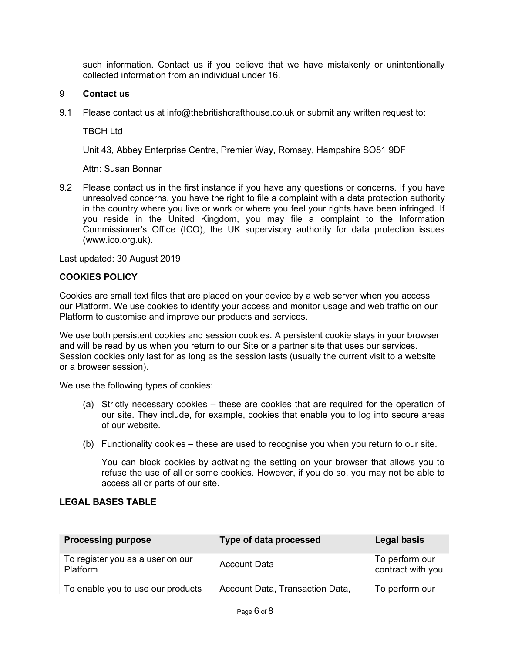such information. Contact us if you believe that we have mistakenly or unintentionally collected information from an individual under 16.

## 9 **Contact us**

9.1 Please contact us at info@thebritishcrafthouse.co.uk or submit any written request to:

TBCH Ltd

Unit 43, Abbey Enterprise Centre, Premier Way, Romsey, Hampshire SO51 9DF

Attn: Susan Bonnar

9.2 Please contact us in the first instance if you have any questions or concerns. If you have unresolved concerns, you have the right to file a complaint with a data protection authority in the country where you live or work or where you feel your rights have been infringed. If you reside in the United Kingdom, you may file a complaint to the Information Commissioner's Office (ICO), the UK supervisory authority for data protection issues (www.ico.org.uk).

Last updated: 30 August 2019

# **COOKIES POLICY**

Cookies are small text files that are placed on your device by a web server when you access our Platform. We use cookies to identify your access and monitor usage and web traffic on our Platform to customise and improve our products and services.

We use both persistent cookies and session cookies. A persistent cookie stays in your browser and will be read by us when you return to our Site or a partner site that uses our services. Session cookies only last for as long as the session lasts (usually the current visit to a website or a browser session).

We use the following types of cookies:

- (a) Strictly necessary cookies these are cookies that are required for the operation of our site. They include, for example, cookies that enable you to log into secure areas of our website.
- (b) Functionality cookies these are used to recognise you when you return to our site.

You can block cookies by activating the setting on your browser that allows you to refuse the use of all or some cookies. However, if you do so, you may not be able to access all or parts of our site.

# **LEGAL BASES TABLE**

| <b>Processing purpose</b>                           | Type of data processed          | Legal basis                         |
|-----------------------------------------------------|---------------------------------|-------------------------------------|
| To register you as a user on our<br><b>Platform</b> | <b>Account Data</b>             | To perform our<br>contract with you |
| To enable you to use our products                   | Account Data, Transaction Data, | To perform our                      |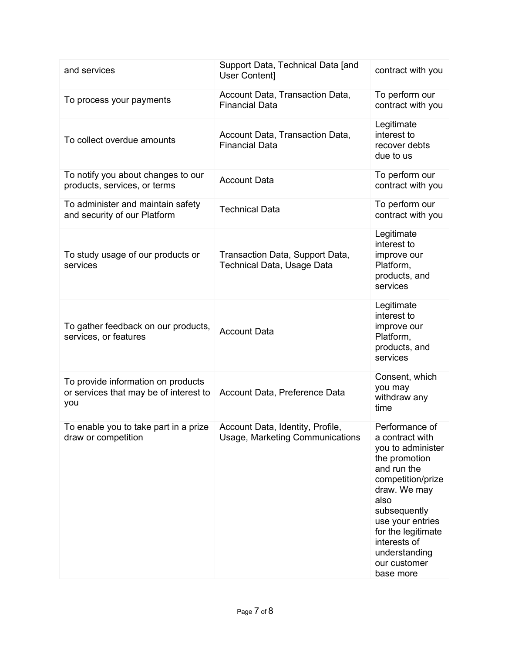| and services                                                                        | Support Data, Technical Data [and<br>User Content]                        | contract with you                                                                                                                                                                                                                                           |
|-------------------------------------------------------------------------------------|---------------------------------------------------------------------------|-------------------------------------------------------------------------------------------------------------------------------------------------------------------------------------------------------------------------------------------------------------|
| To process your payments                                                            | Account Data, Transaction Data,<br><b>Financial Data</b>                  | To perform our<br>contract with you                                                                                                                                                                                                                         |
| To collect overdue amounts                                                          | Account Data, Transaction Data,<br><b>Financial Data</b>                  | Legitimate<br>interest to<br>recover debts<br>due to us                                                                                                                                                                                                     |
| To notify you about changes to our<br>products, services, or terms                  | <b>Account Data</b>                                                       | To perform our<br>contract with you                                                                                                                                                                                                                         |
| To administer and maintain safety<br>and security of our Platform                   | <b>Technical Data</b>                                                     | To perform our<br>contract with you                                                                                                                                                                                                                         |
| To study usage of our products or<br>services                                       | Transaction Data, Support Data,<br>Technical Data, Usage Data             | Legitimate<br>interest to<br>improve our<br>Platform,<br>products, and<br>services                                                                                                                                                                          |
| To gather feedback on our products,<br>services, or features                        | <b>Account Data</b>                                                       | Legitimate<br>interest to<br>improve our<br>Platform,<br>products, and<br>services                                                                                                                                                                          |
| To provide information on products<br>or services that may be of interest to<br>you | Account Data, Preference Data                                             | Consent, which<br>you may<br>withdraw any<br>time                                                                                                                                                                                                           |
| To enable you to take part in a prize<br>draw or competition                        | Account Data, Identity, Profile<br><b>Usage, Marketing Communications</b> | Performance of<br>a contract with<br>you to administer<br>the promotion<br>and run the<br>competition/prize<br>draw. We may<br>also<br>subsequently<br>use your entries<br>for the legitimate<br>interests of<br>understanding<br>our customer<br>base more |